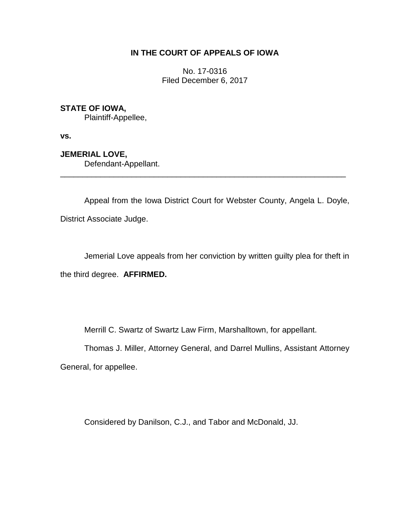## **IN THE COURT OF APPEALS OF IOWA**

No. 17-0316 Filed December 6, 2017

**STATE OF IOWA,**

Plaintiff-Appellee,

**vs.**

**JEMERIAL LOVE,** Defendant-Appellant.

Appeal from the Iowa District Court for Webster County, Angela L. Doyle, District Associate Judge.

\_\_\_\_\_\_\_\_\_\_\_\_\_\_\_\_\_\_\_\_\_\_\_\_\_\_\_\_\_\_\_\_\_\_\_\_\_\_\_\_\_\_\_\_\_\_\_\_\_\_\_\_\_\_\_\_\_\_\_\_\_\_\_\_

Jemerial Love appeals from her conviction by written guilty plea for theft in the third degree. **AFFIRMED.**

Merrill C. Swartz of Swartz Law Firm, Marshalltown, for appellant.

Thomas J. Miller, Attorney General, and Darrel Mullins, Assistant Attorney General, for appellee.

Considered by Danilson, C.J., and Tabor and McDonald, JJ.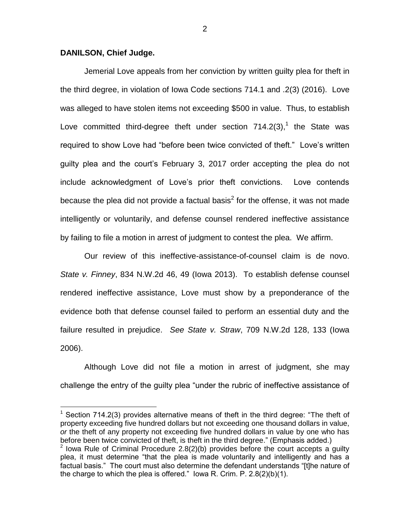## **DANILSON, Chief Judge.**

 $\overline{a}$ 

Jemerial Love appeals from her conviction by written guilty plea for theft in the third degree, in violation of Iowa Code sections 714.1 and .2(3) (2016). Love was alleged to have stolen items not exceeding \$500 in value. Thus, to establish Love committed third-degree theft under section  $714.2(3)$ ,<sup>1</sup> the State was required to show Love had "before been twice convicted of theft." Love's written guilty plea and the court's February 3, 2017 order accepting the plea do not include acknowledgment of Love's prior theft convictions. Love contends because the plea did not provide a factual basis<sup>2</sup> for the offense, it was not made intelligently or voluntarily, and defense counsel rendered ineffective assistance by failing to file a motion in arrest of judgment to contest the plea. We affirm.

Our review of this ineffective-assistance-of-counsel claim is de novo. *State v. Finney*, 834 N.W.2d 46, 49 (Iowa 2013). To establish defense counsel rendered ineffective assistance, Love must show by a preponderance of the evidence both that defense counsel failed to perform an essential duty and the failure resulted in prejudice. *See State v. Straw*, 709 N.W.2d 128, 133 (Iowa 2006).

Although Love did not file a motion in arrest of judgment, she may challenge the entry of the guilty plea "under the rubric of ineffective assistance of

 $1$  Section 714.2(3) provides alternative means of theft in the third degree: "The theft of property exceeding five hundred dollars but not exceeding one thousand dollars in value, *or* the theft of any property not exceeding five hundred dollars in value by one who has before been twice convicted of theft, is theft in the third degree." (Emphasis added.) <sup>2</sup> Iowa Rule of Criminal Procedure 2.8(2)(b) provides before the court accepts a guilty plea, it must determine "that the plea is made voluntarily and intelligently and has a factual basis." The court must also determine the defendant understands "[t]he nature of the charge to which the plea is offered." Iowa R. Crim. P. 2.8(2)(b)(1).

2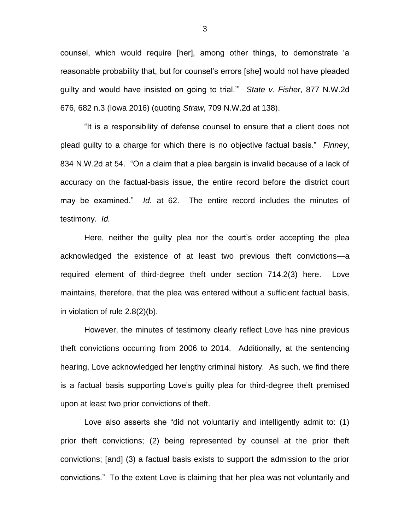counsel, which would require [her], among other things, to demonstrate 'a reasonable probability that, but for counsel's errors [she] would not have pleaded guilty and would have insisted on going to trial.'" *State v. Fisher*, 877 N.W.2d 676, 682 n.3 (Iowa 2016) (quoting *Straw*, 709 N.W.2d at 138).

"It is a responsibility of defense counsel to ensure that a client does not plead guilty to a charge for which there is no objective factual basis." *Finney*, 834 N.W.2d at 54. "On a claim that a plea bargain is invalid because of a lack of accuracy on the factual-basis issue, the entire record before the district court may be examined." *Id.* at 62. The entire record includes the minutes of testimony. *Id.*

Here, neither the guilty plea nor the court's order accepting the plea acknowledged the existence of at least two previous theft convictions—a required element of third-degree theft under section 714.2(3) here. Love maintains, therefore, that the plea was entered without a sufficient factual basis, in violation of rule 2.8(2)(b).

However, the minutes of testimony clearly reflect Love has nine previous theft convictions occurring from 2006 to 2014. Additionally, at the sentencing hearing, Love acknowledged her lengthy criminal history. As such, we find there is a factual basis supporting Love's guilty plea for third-degree theft premised upon at least two prior convictions of theft.

Love also asserts she "did not voluntarily and intelligently admit to: (1) prior theft convictions; (2) being represented by counsel at the prior theft convictions; [and] (3) a factual basis exists to support the admission to the prior convictions." To the extent Love is claiming that her plea was not voluntarily and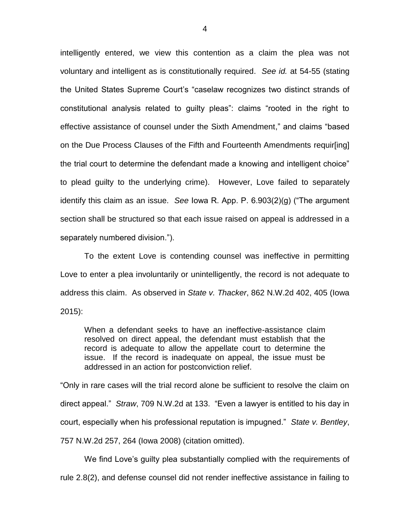intelligently entered, we view this contention as a claim the plea was not voluntary and intelligent as is constitutionally required. *See id.* at 54-55 (stating the United States Supreme Court's "caselaw recognizes two distinct strands of constitutional analysis related to guilty pleas": claims "rooted in the right to effective assistance of counsel under the Sixth Amendment," and claims "based on the Due Process Clauses of the Fifth and Fourteenth Amendments requir[ing] the trial court to determine the defendant made a knowing and intelligent choice" to plead guilty to the underlying crime). However, Love failed to separately identify this claim as an issue. *See* Iowa R. App. P. 6.903(2)(g) ("The argument section shall be structured so that each issue raised on appeal is addressed in a separately numbered division.").

To the extent Love is contending counsel was ineffective in permitting Love to enter a plea involuntarily or unintelligently, the record is not adequate to address this claim. As observed in *State v. Thacker*, 862 N.W.2d 402, 405 (Iowa 2015):

When a defendant seeks to have an ineffective-assistance claim resolved on direct appeal, the defendant must establish that the record is adequate to allow the appellate court to determine the issue. If the record is inadequate on appeal, the issue must be addressed in an action for postconviction relief.

"Only in rare cases will the trial record alone be sufficient to resolve the claim on direct appeal." *Straw*, 709 N.W.2d at 133. "Even a lawyer is entitled to his day in court, especially when his professional reputation is impugned." *State v. Bentley*, 757 N.W.2d 257, 264 (Iowa 2008) (citation omitted).

We find Love's guilty plea substantially complied with the requirements of rule 2.8(2), and defense counsel did not render ineffective assistance in failing to